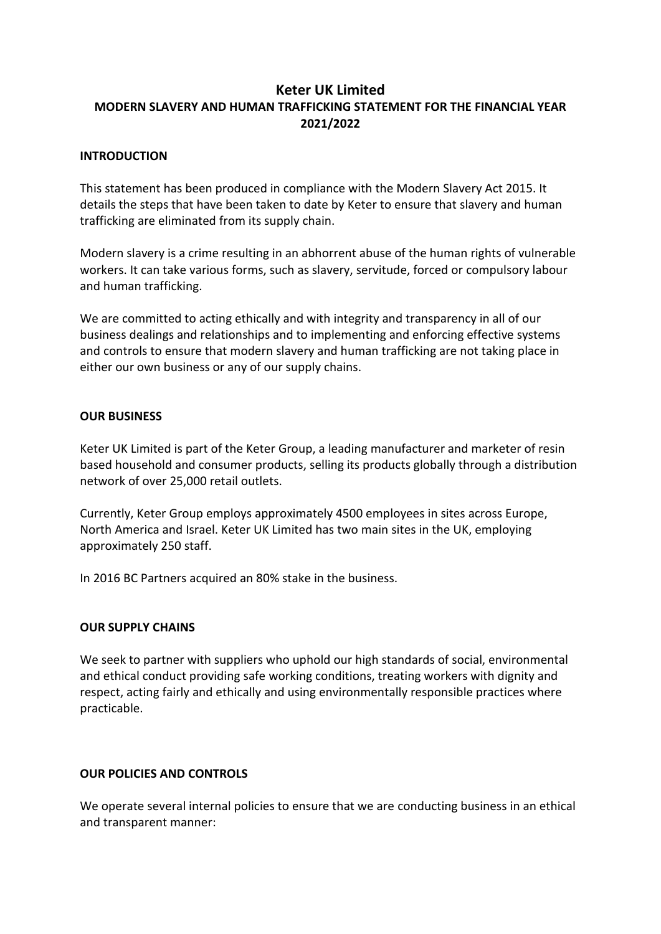# **Keter UK Limited MODERN SLAVERY AND HUMAN TRAFFICKING STATEMENT FOR THE FINANCIAL YEAR 2021/2022**

# **INTRODUCTION**

This statement has been produced in compliance with the Modern Slavery Act 2015. It details the steps that have been taken to date by Keter to ensure that slavery and human trafficking are eliminated from its supply chain.

Modern slavery is a crime resulting in an abhorrent abuse of the human rights of vulnerable workers. It can take various forms, such as slavery, servitude, forced or compulsory labour and human trafficking.

We are committed to acting ethically and with integrity and transparency in all of our business dealings and relationships and to implementing and enforcing effective systems and controls to ensure that modern slavery and human trafficking are not taking place in either our own business or any of our supply chains.

# **OUR BUSINESS**

Keter UK Limited is part of the Keter Group, a leading manufacturer and marketer of resin based household and consumer products, selling its products globally through a distribution network of over 25,000 retail outlets.

Currently, Keter Group employs approximately 4500 employees in sites across Europe, North America and Israel. Keter UK Limited has two main sites in the UK, employing approximately 250 staff.

In 2016 BC Partners acquired an 80% stake in the business.

### **OUR SUPPLY CHAINS**

We seek to partner with suppliers who uphold our high standards of social, environmental and ethical conduct providing safe working conditions, treating workers with dignity and respect, acting fairly and ethically and using environmentally responsible practices where practicable.

### **OUR POLICIES AND CONTROLS**

We operate several internal policies to ensure that we are conducting business in an ethical and transparent manner: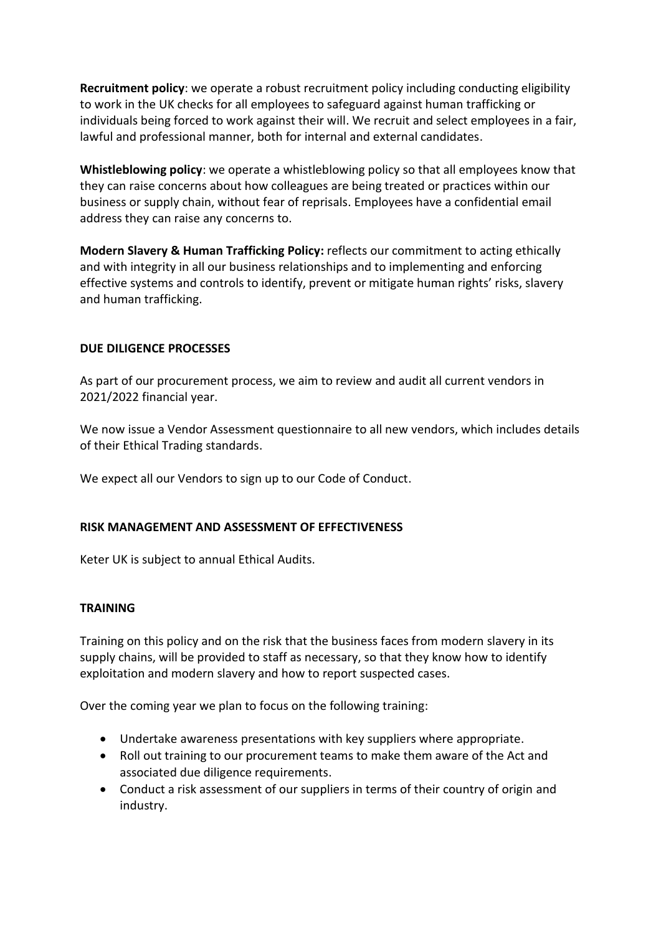**Recruitment policy**: we operate a robust recruitment policy including conducting eligibility to work in the UK checks for all employees to safeguard against human trafficking or individuals being forced to work against their will. We recruit and select employees in a fair, lawful and professional manner, both for internal and external candidates.

**Whistleblowing policy**: we operate a whistleblowing policy so that all employees know that they can raise concerns about how colleagues are being treated or practices within our business or supply chain, without fear of reprisals. Employees have a confidential email address they can raise any concerns to.

**Modern Slavery & Human Trafficking Policy:** reflects our commitment to acting ethically and with integrity in all our business relationships and to implementing and enforcing effective systems and controls to identify, prevent or mitigate human rights' risks, slavery and human trafficking.

# **DUE DILIGENCE PROCESSES**

As part of our procurement process, we aim to review and audit all current vendors in 2021/2022 financial year.

We now issue a Vendor Assessment questionnaire to all new vendors, which includes details of their Ethical Trading standards.

We expect all our Vendors to sign up to our Code of Conduct.

### **RISK MANAGEMENT AND ASSESSMENT OF EFFECTIVENESS**

Keter UK is subject to annual Ethical Audits.

### **TRAINING**

Training on this policy and on the risk that the business faces from modern slavery in its supply chains, will be provided to staff as necessary, so that they know how to identify exploitation and modern slavery and how to report suspected cases.

Over the coming year we plan to focus on the following training:

- Undertake awareness presentations with key suppliers where appropriate.
- Roll out training to our procurement teams to make them aware of the Act and associated due diligence requirements.
- Conduct a risk assessment of our suppliers in terms of their country of origin and industry.